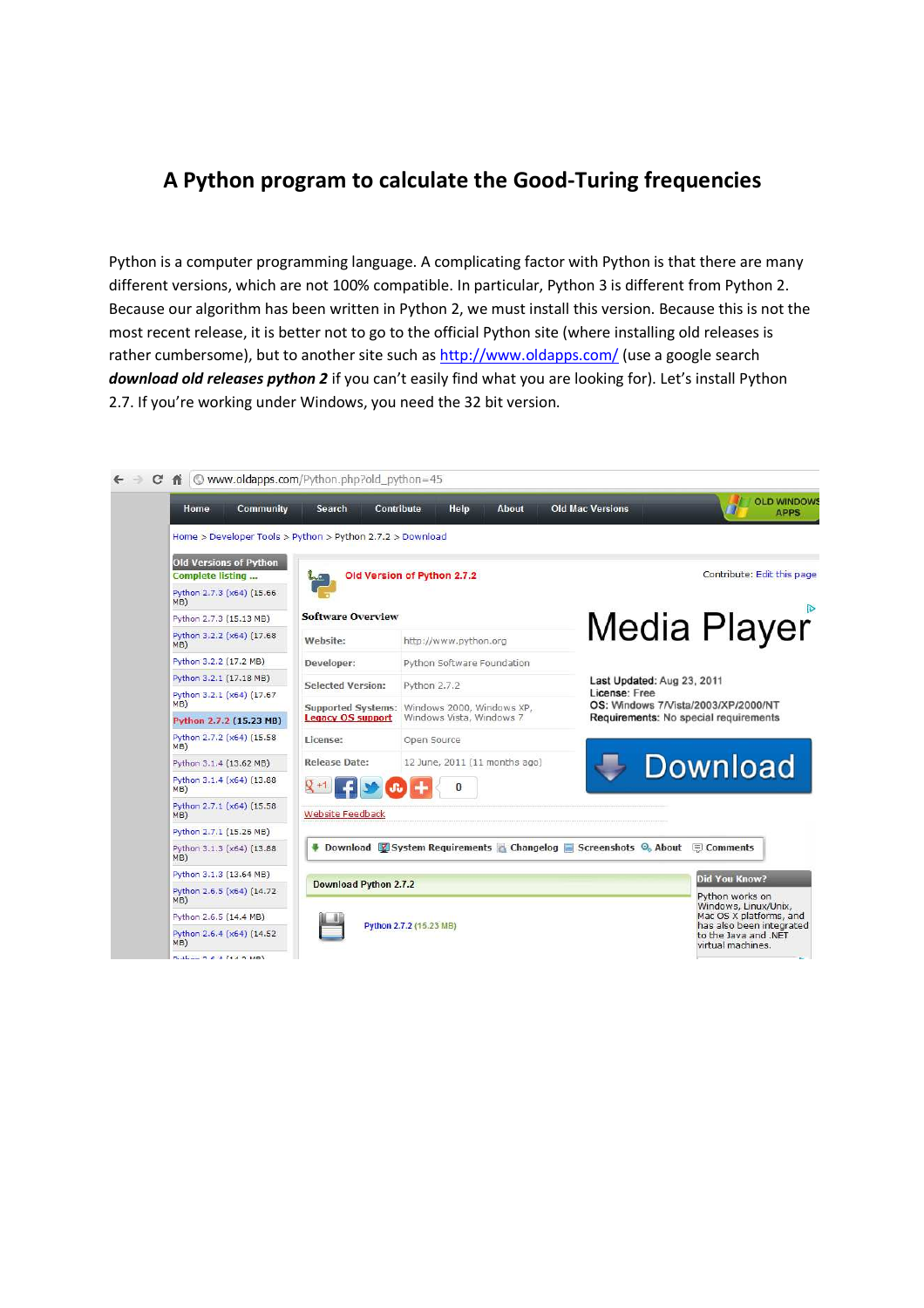## **A Python program to calculate the Good-Turing frequencies**

Python is a computer programming language. A complicating factor with Python is that there are many different versions, which are not 100% compatible. In particular, Python 3 is different from Python 2. Because our algorithm has been written in Python 2, we must install this version. Because this is not the most recent release, it is better not to go to the official Python site (where installing old releases is rather cumbersome), but to another site such as http://www.oldapps.com/ (use a google search *download old releases python 2* if you can't easily find what you are looking for). Let's install Python 2.7. If you're working under Windows, you need the 32 bit version.

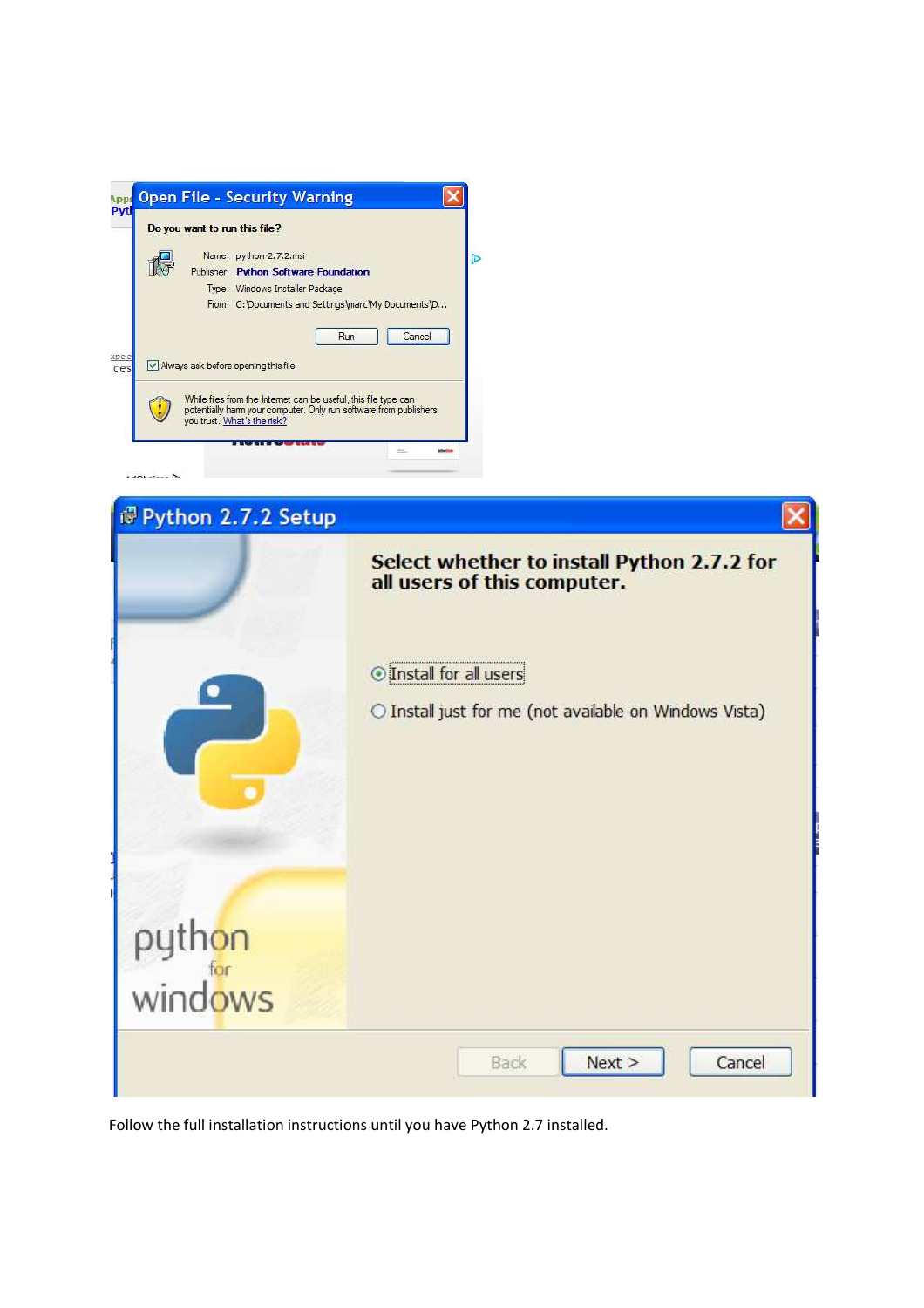| Name: python-2.7.2.msi<br>Publisher: Python Software Foundation<br>Type: Windows Installer Package<br>Cancel<br>Run<br>Mways ask before opening this file           | Do you want to run this file?                        |
|---------------------------------------------------------------------------------------------------------------------------------------------------------------------|------------------------------------------------------|
|                                                                                                                                                                     |                                                      |
|                                                                                                                                                                     |                                                      |
|                                                                                                                                                                     |                                                      |
|                                                                                                                                                                     | From: C: \Documents and Settings\marc\My Documents\D |
|                                                                                                                                                                     |                                                      |
| While files from the Internet can be useful, this file type can<br>potentially harm your computer. Only run software from publishers<br>you trust. What's the risk? |                                                      |

| Python 2.7.2 Setup |                                                                                 |  |
|--------------------|---------------------------------------------------------------------------------|--|
|                    | Select whether to install Python 2.7.2 for<br>all users of this computer.       |  |
|                    | Install for all users<br>O Install just for me (not available on Windows Vista) |  |
|                    |                                                                                 |  |
| python<br>windows  |                                                                                 |  |
|                    | Next ><br>Cancel<br>Back                                                        |  |

Follow the full installation instructions until you have Python 2.7 installed.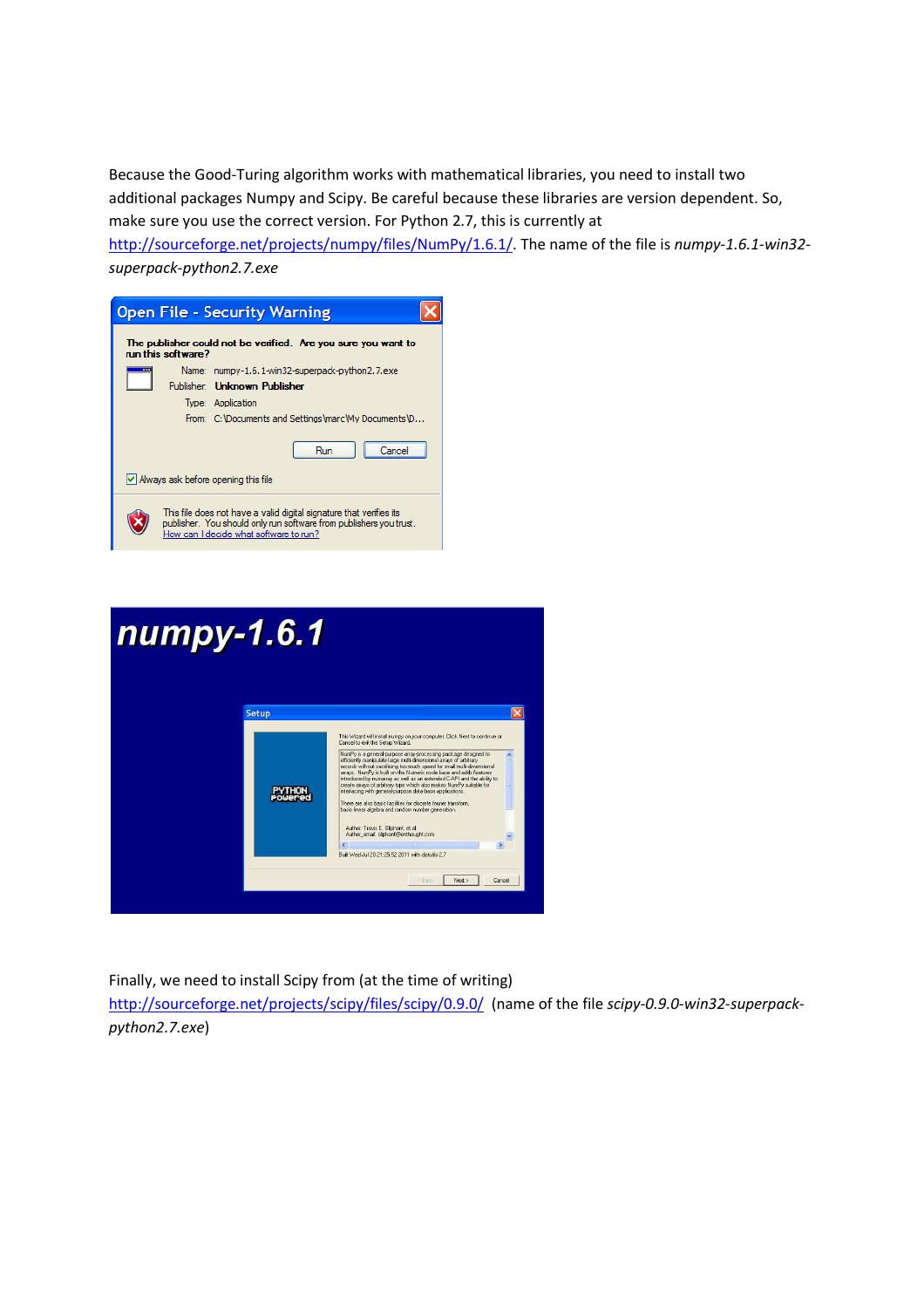Because the Good-Turing algorithm works with mathematical libraries, you need to install two additional packages Numpy and Scipy. Be careful because these libraries are version dependent. So, make sure you use the correct version. For Python 2.7, this is currently at

http://sourceforge.net/projects/numpy/files/NumPy/1.6.1/. The name of the file is *numpy-1.6.1-win32 superpack-python2.7.exe*





Finally, we need to install Scipy from (at the time of writing)

http://sourceforge.net/projects/scipy/files/scipy/0.9.0/ (name of the file *scipy-0.9.0-win32-superpackpython2.7.exe*)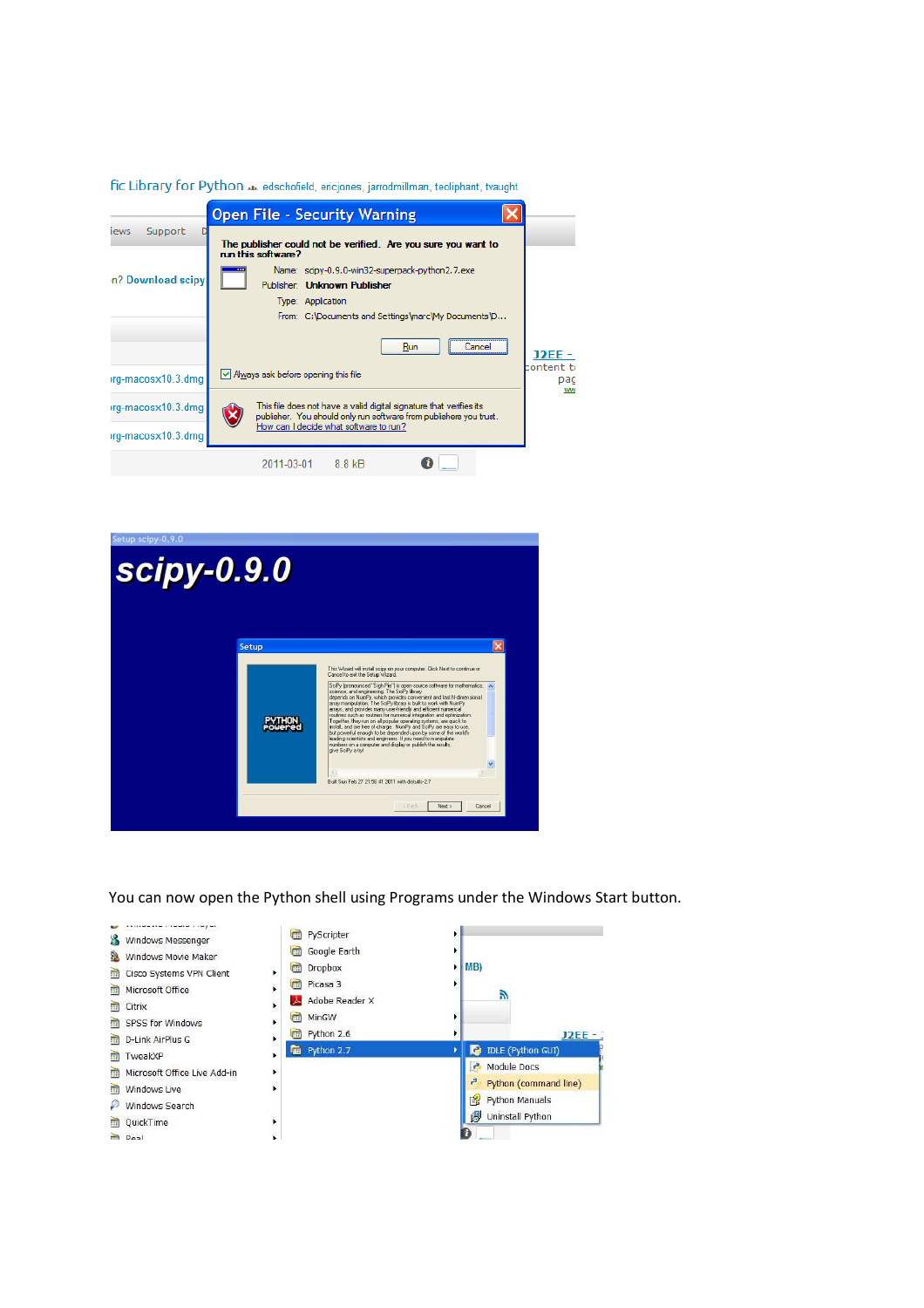| fic Library for Python .xx edschofield, ericjones, jarrodmillman, teoliphant, tvaught |  |                                                                                                                                           |                         |  |  |
|---------------------------------------------------------------------------------------|--|-------------------------------------------------------------------------------------------------------------------------------------------|-------------------------|--|--|
|                                                                                       |  | <b>Open File - Security Warning</b>                                                                                                       |                         |  |  |
| Support<br>iews                                                                       |  | The publisher could not be verified. Are you sure you want to<br>run this software?                                                       |                         |  |  |
| n? Download scipy.                                                                    |  | Name: scipy-0.9.0-win32-superpack-python2.7.exe<br>Publisher: Unknown Publisher                                                           |                         |  |  |
|                                                                                       |  | Type: Application<br>From: C:\Documents and Settings\marc\My Documents\D                                                                  |                         |  |  |
|                                                                                       |  | Run<br>Cancel                                                                                                                             | J2EE                    |  |  |
| irg-macosx10.3.dmg                                                                    |  | √ Always ask before opening this file                                                                                                     | content to<br>pag<br>ww |  |  |
| irg-macosx10.3.dmg                                                                    |  | This file does not have a valid digital signature that verifies its<br>publisher. You should only run software from publishers you trust. |                         |  |  |
| irg-macosx10.3.dmg                                                                    |  | How can I decide what software to run?                                                                                                    |                         |  |  |
|                                                                                       |  | 2011-03-01<br>8.8 kB                                                                                                                      |                         |  |  |



You can now open the Python shell using Programs under the Windows Start button.

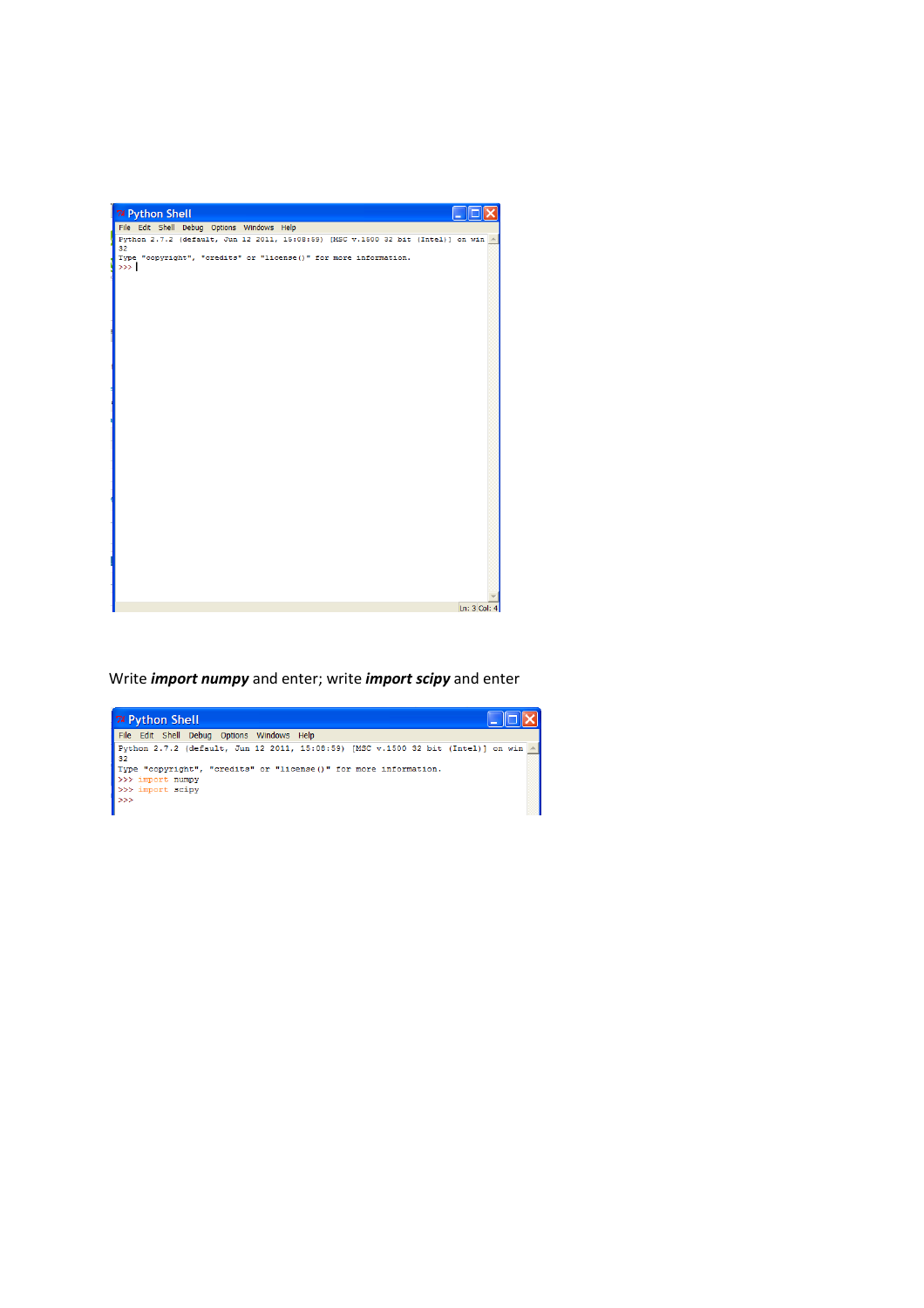

Write *import numpy* and enter; write *import scipy* and enter

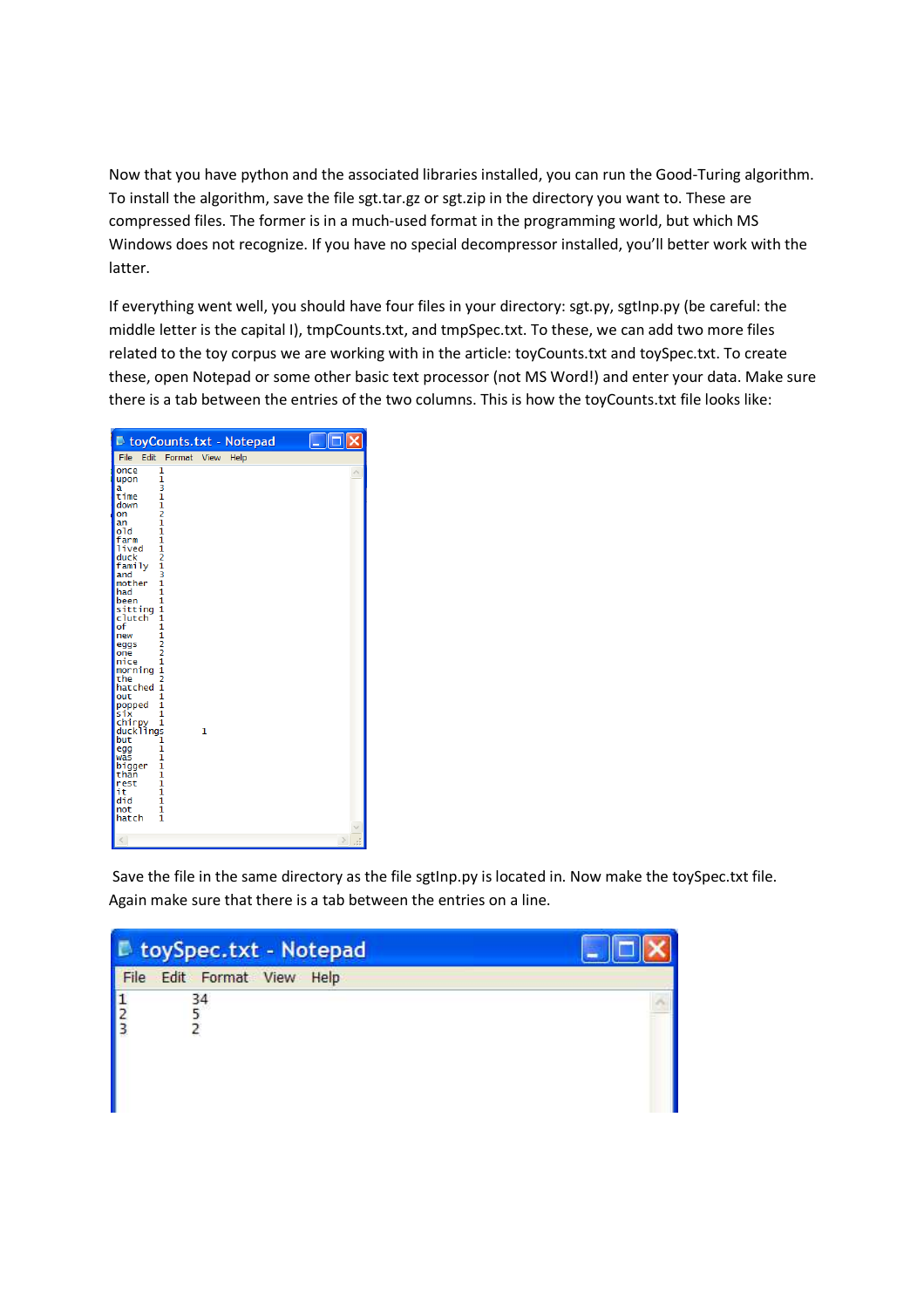Now that you have python and the associated libraries installed, you can run the Good-Turing algorithm. To install the algorithm, save the file sgt.tar.gz or sgt.zip in the directory you want to. These are compressed files. The former is in a much-used format in the programming world, but which MS Windows does not recognize. If you have no special decompressor installed, you'll better work with the latter.

If everything went well, you should have four files in your directory: sgt.py, sgtInp.py (be careful: the middle letter is the capital I), tmpCounts.txt, and tmpSpec.txt. To these, we can add two more files related to the toy corpus we are working with in the article: toyCounts.txt and toySpec.txt. To create these, open Notepad or some other basic text processor (not MS Word!) and enter your data. Make sure there is a tab between the entries of the two columns. This is how the toyCounts.txt file looks like:

| D toyCounts.txt - Notepad                                                                                                                                                                                                                                                                                                                                                                                                                                                                                                                                           |   |      |  |
|---------------------------------------------------------------------------------------------------------------------------------------------------------------------------------------------------------------------------------------------------------------------------------------------------------------------------------------------------------------------------------------------------------------------------------------------------------------------------------------------------------------------------------------------------------------------|---|------|--|
| File<br>Edit<br>Format View                                                                                                                                                                                                                                                                                                                                                                                                                                                                                                                                         |   | Help |  |
| 1<br>once<br>1<br>upon<br>3<br>a<br>time<br>1<br>1<br>down<br>2<br>on<br>1<br>an<br>o1d<br>1<br>farm<br>1<br>$\frac{1}{2}$<br>lived<br>duck<br>family<br>3<br>and<br>mother<br>1<br>had<br>1<br>1<br>been<br>sitting<br>1<br>clutch<br>1<br>of<br>1<br>1<br>new<br>$\frac{2}{2}$<br>eggs<br>one<br>1<br>nice<br>1<br>morning<br>$\overline{a}$<br>the<br>hatched<br>1<br>1<br>out<br>1<br>popped<br>six<br>1<br>chirpy 1<br>ducklings<br>but<br>1<br>1<br>egg<br>1<br>was<br>bigger<br>1<br>than<br>1<br>1<br>rest<br>it<br>1<br>did<br>1<br>1<br>not<br>1<br>hatch | 1 |      |  |
|                                                                                                                                                                                                                                                                                                                                                                                                                                                                                                                                                                     |   |      |  |

Save the file in the same directory as the file sgtInp.py is located in. Now make the toySpec.txt file. Again make sure that there is a tab between the entries on a line.

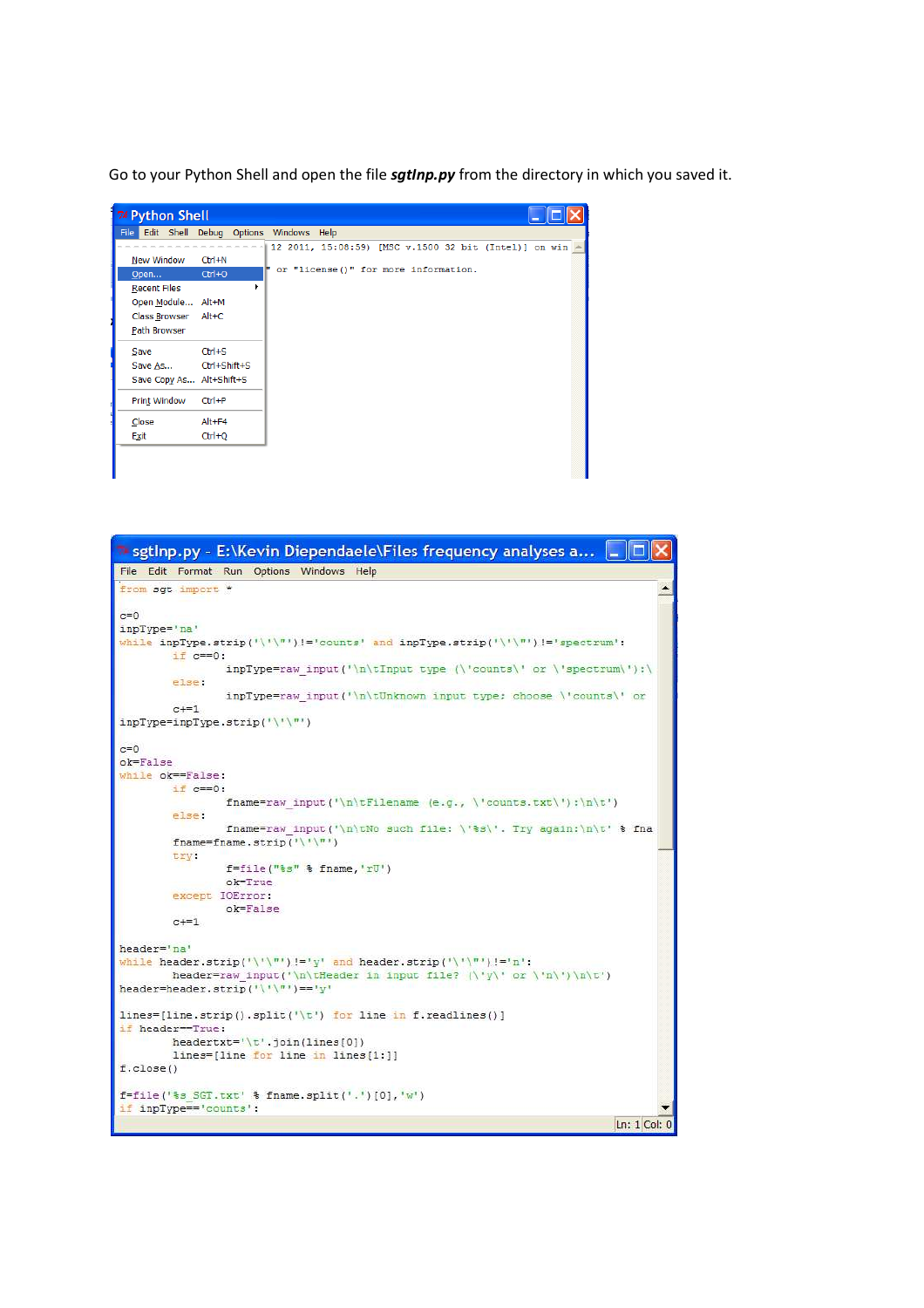Go to your Python Shell and open the file *sgtInp.py* from the directory in which you saved it.



| The sgtInp.py - E:\Kevin Diependaele\Files frequency analyses a                   |
|-----------------------------------------------------------------------------------|
| File Edit Format Run Options Windows Help                                         |
| from sqt import *                                                                 |
|                                                                                   |
| $c=0$                                                                             |
| inpType='na'                                                                      |
| while inpType.strip('\'\"')!='counts' and inpType.strip('\'\"')!='spectrum':      |
| $if c == 0:$<br>$inpType=raw input('\\n\tInput type ('counts)' or \tspectrum');\$ |
| else:                                                                             |
| inpTvpe=raw input('\n\tUnknown input type: choose \'counts\' or                   |
| $c == 1$                                                                          |
| inpType=inpType.strip('\'\"')                                                     |
|                                                                                   |
| $c=0$                                                                             |
| $o$ k=False                                                                       |
| while ok==False:<br>$if c == 0:$                                                  |
| fname=raw input('\n\tFilename (e.g., \'counts.txt\');\n\t')                       |
| else:                                                                             |
| fname=raw input('\n\tNo such file: \'\s\'. Try again:\n\t' \\$ fna                |
| fname=fname.strip('\'\"')                                                         |
| <b>LYV</b>                                                                        |
| $f = file("3s" 3 fname,'rU')$                                                     |
| $ok=True$                                                                         |
| except IOError:                                                                   |
| $ok=Fa1se$                                                                        |
| $c == 1$                                                                          |
| header='na'                                                                       |
| while header.strip('\'\"')!='y' and header.strip('\'\"')!='n':                    |
| header=raw input('\n\tHeader in input file? (\'y\' or \'n\')\n\t')                |
| header=header.strip('\'\"') =='v'                                                 |
|                                                                                   |
| lines=[line.strip().split('\t') for line in f.readlines()]                        |
| if header == True:                                                                |
| headertxt= $\sqrt{t}$ . join(lines[0])                                            |
| lines=[line for line in lines[1:]]                                                |
| $f$ .close()                                                                      |
| f=file('%s SGT.txt' % fname.split('.')[0],'w')                                    |
| if inpType=='counts':                                                             |
| Ln: $1$ Col: $0$                                                                  |
|                                                                                   |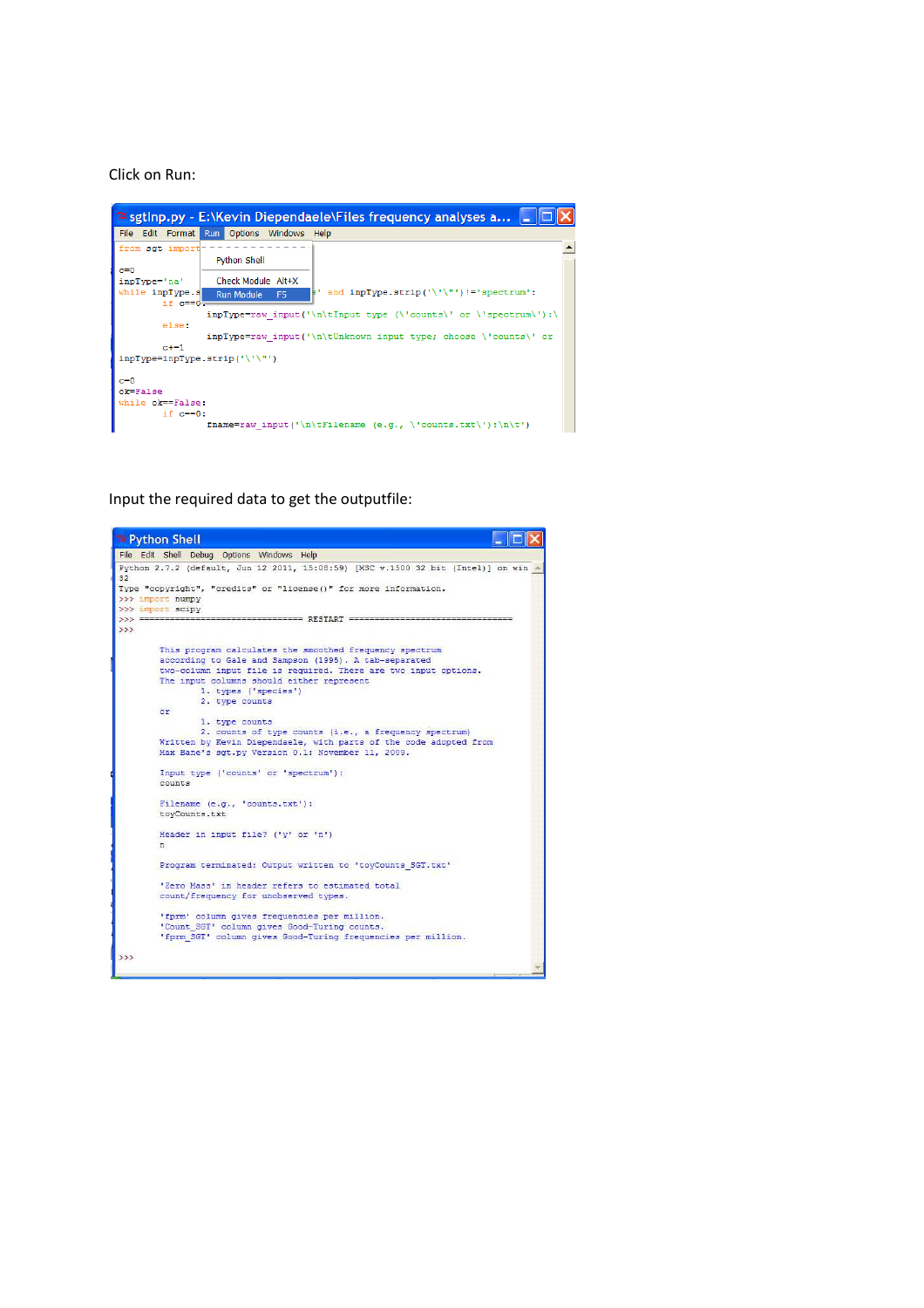## Click on Run:



Input the required data to get the outputfile:

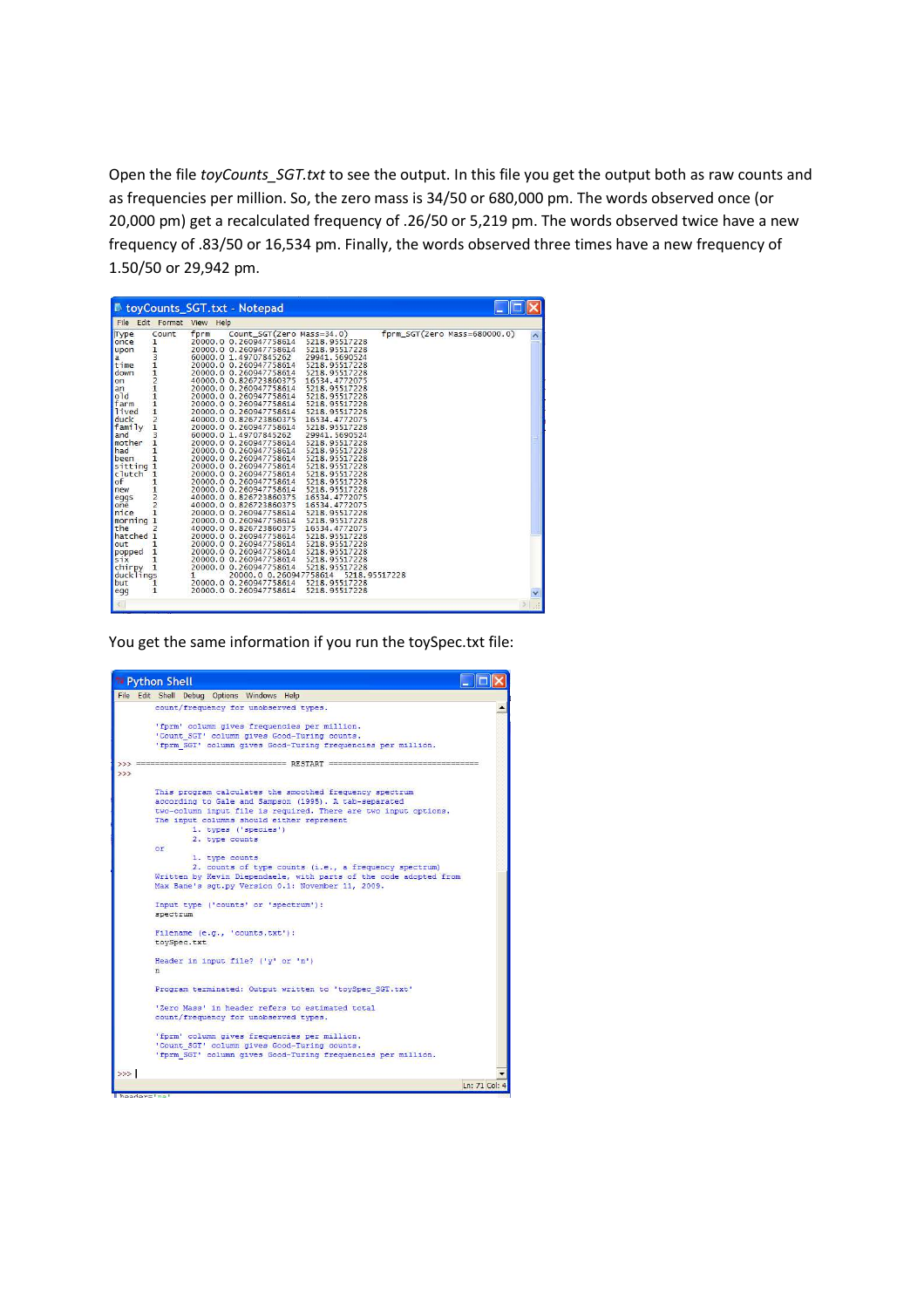Open the file *toyCounts\_SGT.txt* to see the output. In this file you get the output both as raw counts and as frequencies per million. So, the zero mass is 34/50 or 680,000 pm. The words observed once (or 20,000 pm) get a recalculated frequency of .26/50 or 5,219 pm. The words observed twice have a new frequency of .83/50 or 16,534 pm. Finally, the words observed three times have a new frequency of 1.50/50 or 29,942 pm.

| B.                    |                  | toyCounts SGT.txt - Notepad                                         |  |
|-----------------------|------------------|---------------------------------------------------------------------|--|
| File                  | Edit Format View | Help                                                                |  |
| Type                  | Count            | $form_SGT(Zero Mass=680000.0)$<br>Count_SGT(Zero Mass=34.0)<br>fprm |  |
| once                  | $\mathbf{1}$     | 20000.0 0.260947758614<br>5218.95517228                             |  |
| upon                  |                  | 20000.0 0.260947758614<br>5218.95517228                             |  |
| a                     | 1311211121       | 60000.0 1.49707845262<br>29941.5690524                              |  |
| time                  |                  | 20000.0 0.260947758614<br>5218.95517228                             |  |
| down                  |                  | 20000.0 0.260947758614<br>5218.95517228                             |  |
| on                    |                  | 16534.4772075<br>40000.0 0.826723860375                             |  |
| an                    |                  | 20000.0 0.260947758614<br>5218.95517228                             |  |
| o1d                   |                  | 20000.0 0.260947758614<br>5218.95517228                             |  |
| farm                  |                  | 20000.0 0.260947758614<br>5218.95517228                             |  |
| lived                 |                  | 5218.95517228<br>20000.0 0.260947758614                             |  |
| duck                  |                  | 40000.0 0.826723860375<br>16534.4772075                             |  |
| family                |                  | 20000.0 0.260947758614<br>5218.95517228                             |  |
| and                   | 3                | 60000.0 1.49707845262<br>29941.5690524                              |  |
| mother                | 1                | 20000.0 0.260947758614<br>5218.95517228                             |  |
| had                   | $\mathbf{1}$     | 20000.0 0.260947758614<br>5218.95517228                             |  |
| been                  | $\mathbf{1}$     | 5218.95517228<br>20000.0 0.260947758614                             |  |
| sitting               | 1                | 5218.95517228<br>20000.0 0.260947758614                             |  |
| clutch                | $\mathbf{1}$     | 20000.0 0.260947758614<br>5218.95517228                             |  |
| of                    | $\mathbf{1}$     | 5218.95517228<br>20000.0 0.260947758614                             |  |
| new                   |                  | 5218.95517228<br>20000.0 0.260947758614                             |  |
| eggs                  | $\frac{1}{2}$    | 40000.0 0.826723860375<br>16534.4772075                             |  |
| one                   |                  | 40000.0 0.826723860375<br>16534.4772075                             |  |
| nice                  | $\mathbf{1}$     | 20000.0 0.260947758614<br>5218.95517228                             |  |
| morning               | 1                | 20000.0 0.260947758614<br>5218.95517228                             |  |
| the                   | $\overline{c}$   | 40000.0 0.826723860375<br>16534.4772075                             |  |
| hatched 1             |                  | 5218.95517228<br>20000.0 0.260947758614                             |  |
| out                   | 1                | 20000.0 0.260947758614<br>5218.95517228                             |  |
| popped                | 1                | 5218.95517228<br>20000.0 0.260947758614                             |  |
| six                   | $\mathbf{1}$     | 5218.95517228<br>20000.0 0.260947758614                             |  |
|                       |                  | 20000.0 0.260947758614<br>5218.95517228                             |  |
| chirpy 1<br>ducklings |                  | 20000.0 0.260947758614<br>5218.95517228<br>1                        |  |
| but                   | 1                | 5218.95517228<br>20000.0 0.260947758614                             |  |
| egg                   | 1                | 20000.0 0.260947758614<br>5218.95517228                             |  |
|                       |                  |                                                                     |  |
|                       |                  |                                                                     |  |

You get the same information if you run the toySpec.txt file: